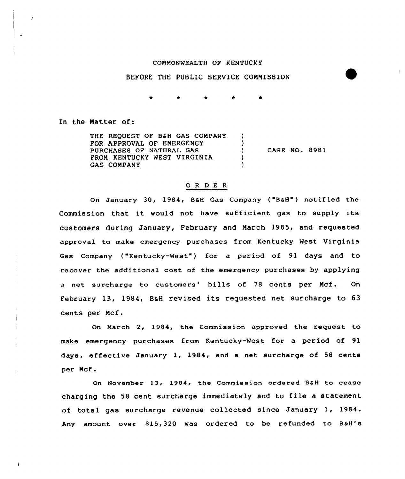#### COMMONWEALTH OF KENTUCKY

### BEFORE THE PUBLIC SERVICE COMMISSION

In the Natter of:

 $\cdot$ 

THE REQUEST OF B&H GAS COMPANY FOR APPROVAL OF ENERGENCY  $\lambda$ CASE NO. 8981 PURCHASES OF NATURAL GAS  $\lambda$ FROM KENTUCKY WEST VIRGINIA  $\lambda$ GAS COMPANY

#### OR DE <sup>R</sup>

On January 30, 1984, B&H Gas Company ("B&H") notified the Commission that it would not have sufficient gas to supply its customers during January, February and March 1985, and requested approval to make emergency purchases from Kentucky Nest Virginia Gas Company ("Kentucky-West") for a period of 91 days and to recover the additional cost of the emergency purchases by applying a net surcharge to customers' bills of 78 cents per Mcf. On February 13, 1984, B&H revised its requested net surcharge to 63 cents per Mcf.

On March 2, 1984, the Commission approved the request to make emergency purchases from Kentucky-Nest for a period of 91 days, effective January 1, 1984, and <sup>a</sup> net surcharge of 58 cents per Mcf.

On November 13, 1984, the Commission ordered B&H to cease charging the <sup>58</sup> cent surcharge immediately and to file <sup>a</sup> statement of total gas surcharge revenue collected since January 1, 1984. Any amount over \$15,320 was ordered to be refunded to B&H's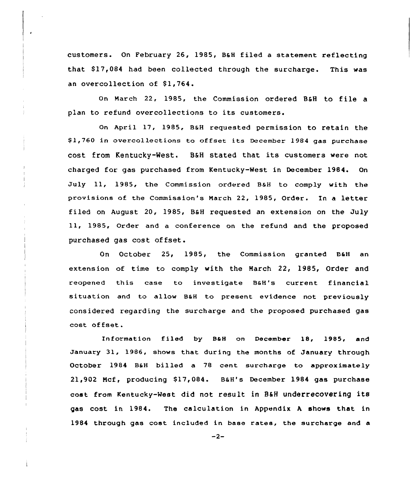customers. On February 26, 1985, B&H filed a statement reflecting that \$17,084 had been collected through the surcharge. This was an overcollection of \$1,764.

On March 22, 1985, the Commission ordered B&H to file <sup>a</sup> plan to refund overcollections to its customers.

On april 17, 1985, B&H requested permission to retain the \$ 1,760 in overco1lections to offset its December 1984 gas purchase cost from Kentucky-West. B&H stated that its customers were not charged for gas purchased from Kentucky-West in December 1984. On July 11, 1985, the Commission ordered B&H to comply with the provisions of the Commission's March 22, 1985, Order. Tn <sup>a</sup> letter filed on August 20, 1985, B&H requested an extension on the July 11, 1985, Order and a conference on the refund and the proposed purchased gas cost offset.

On October 25, 1985, the Commission granted B&H an extension of time to comply with the March 22, 1985, Order and reopened this case to investigate B&H's current financial situation and to allow B&H to present evidence not previously considered regarding the surcharge and the proposed purchased gas cost offset.

Information filed by B&H on December 18, 1985, and January 31, 19S6, shows that during the months of January through October 1984 B&H billed a 78 cent surcharge to approximately 21,902 Mcf, producing \$17,084. B&H's December 1984 gas purchase cost from Kentucky-West did not result in B&H underrecovering its gas cost in 1984. The calculation in Appendix A shows that in 1984 through gas cost included in base rates, the surcharge and a

 $-2-$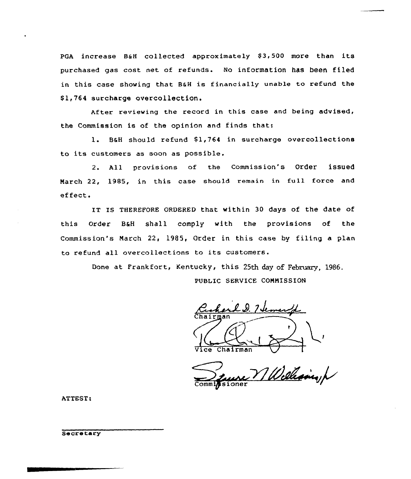PGA increase  $B\&H$  collected approximately \$3,500 more than its purchased gas cost net of refunds. No information has been filed in this case showing that BaH is financially unable to refund the \$1,764 surcharge overcollection.

After reviewing the record in this case and being advised, the Commission is of the opinion and finds that:

1. B&H should refund \$1,764 in surcharge overcollections to its customers as soon as possible.

2. All provisions of the Commission's Order issued March 22, 1985, in this case should remain in full force and effect.

IT IS THEREFORE ORDERED that within 30 days of the date of this Order B&H shall comply with the provisions of the Commission's March 22, 1985, Order in this case by filing a plan to refund all overcollections to its customers.

Done at Frankfort, Kentucky, this 25th day of February, 1986.

PUBLIC SERVICE COMMISSION

C.D. 7 temental

Chairman<br>Zuine VI Welleaunch

ATTEST

**Secretary**